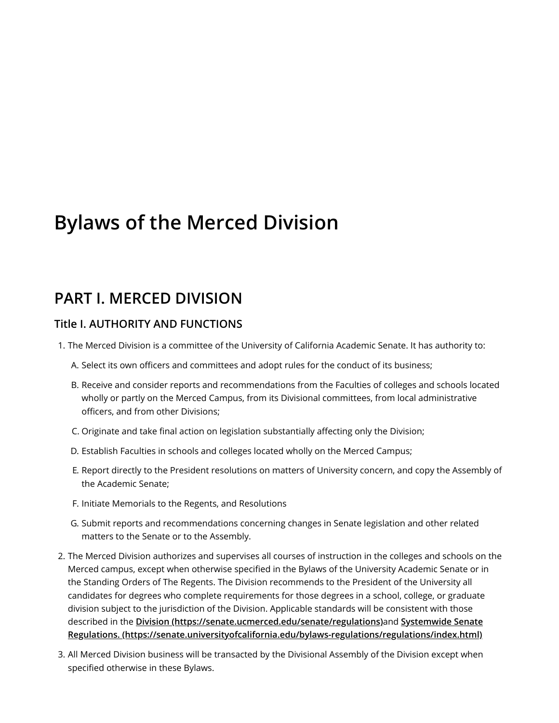# **Bylaws of the Merced Division**

# **PART I. MERCED DIVISION**

### **Title I. AUTHORITY AND FUNCTIONS**

- 1. The Merced Division is a committee of the University of California Academic Senate. It has authority to:
	- A. Select its own officers and committees and adopt rules for the conduct of its business;
	- B. Receive and consider reports and recommendations from the Faculties of colleges and schools located wholly or partly on the Merced Campus, from its Divisional committees, from local administrative officers, and from other Divisions;
	- C. Originate and take final action on legislation substantially affecting only the Division;
	- D. Establish Faculties in schools and colleges located wholly on the Merced Campus;
	- E. Report directly to the President resolutions on matters of University concern, and copy the Assembly of the Academic Senate;
	- F. Initiate Memorials to the Regents, and Resolutions
	- G. Submit reports and recommendations concerning changes in Senate legislation and other related matters to the Senate or to the Assembly.
- 2. The Merced Division authorizes and supervises all courses of instruction in the colleges and schools on the Merced campus, except when otherwise specified in the Bylaws of the University Academic Senate or in the Standing Orders of The Regents. The Division recommends to the President of the University all candidates for degrees who complete requirements for those degrees in a school, college, or graduate division subject to the jurisdiction of the Division. Applicable standards will be consistent with those described in the **Division [\(https://senate.ucmerced.edu/senate/regulations\)](https://senate.ucmerced.edu/senate/regulations)**and **Systemwide Senate [Regulations. \(https://senate.universityofcalifornia.edu/bylaws-regulations/regulations/index.html\)](https://senate.universityofcalifornia.edu/bylaws-regulations/regulations/index.html)**
- 3. All Merced Division business will be transacted by the Divisional Assembly of the Division except when specified otherwise in these Bylaws.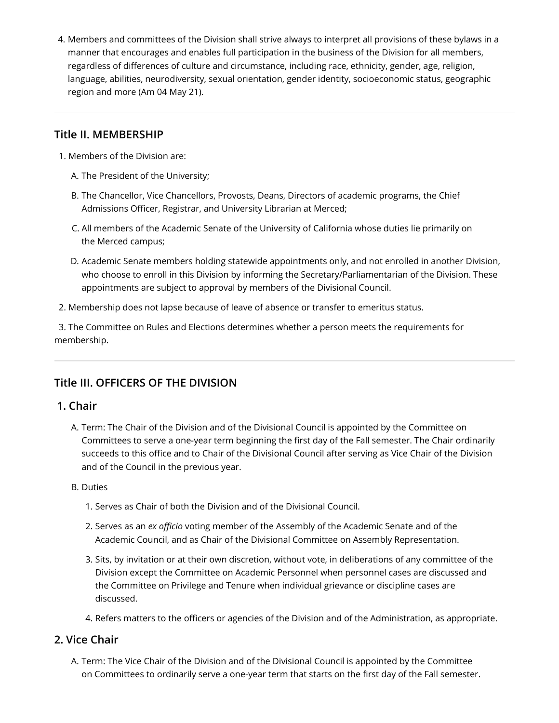4. Members and committees of the Division shall strive always to interpret all provisions of these bylaws in a manner that encourages and enables full participation in the business of the Division for all members, regardless of differences of culture and circumstance, including race, ethnicity, gender, age, religion, language, abilities, neurodiversity, sexual orientation, gender identity, socioeconomic status, geographic region and more (Am 04 May 21).

### **Title II. MEMBERSHIP**

- 1. Members of the Division are:
	- A. The President of the University;
	- B. The Chancellor, Vice Chancellors, Provosts, Deans, Directors of academic programs, the Chief Admissions Officer, Registrar, and University Librarian at Merced;
	- C. All members of the Academic Senate of the University of California whose duties lie primarily on the Merced campus;
	- D. Academic Senate members holding statewide appointments only, and not enrolled in another Division, who choose to enroll in this Division by informing the Secretary/Parliamentarian of the Division. These appointments are subject to approval by members of the Divisional Council.
- 2. Membership does not lapse because of leave of absence or transfer to emeritus status.

 3. The Committee on Rules and Elections determines whether a person meets the requirements for membership.

### **Title III. OFFICERS OF THE DIVISION**

### **1. Chair**

- A. Term: The Chair of the Division and of the Divisional Council is appointed by the Committee on Committees to serve a one-year term beginning the first day of the Fall semester. The Chair ordinarily succeeds to this office and to Chair of the Divisional Council after serving as Vice Chair of the Division and of the Council in the previous year.
- B. Duties
	- 1. Serves as Chair of both the Division and of the Divisional Council.
	- 2. Serves as an *ex officio* voting member of the Assembly of the Academic Senate and of the Academic Council, and as Chair of the Divisional Committee on Assembly Representation.
	- 3. Sits, by invitation or at their own discretion, without vote, in deliberations of any committee of the Division except the Committee on Academic Personnel when personnel cases are discussed and the Committee on Privilege and Tenure when individual grievance or discipline cases are discussed.
	- 4. Refers matters to the officers or agencies of the Division and of the Administration, as appropriate.

### **2. Vice Chair**

A. Term: The Vice Chair of the Division and of the Divisional Council is appointed by the Committee on Committees to ordinarily serve a one-year term that starts on the first day of the Fall semester.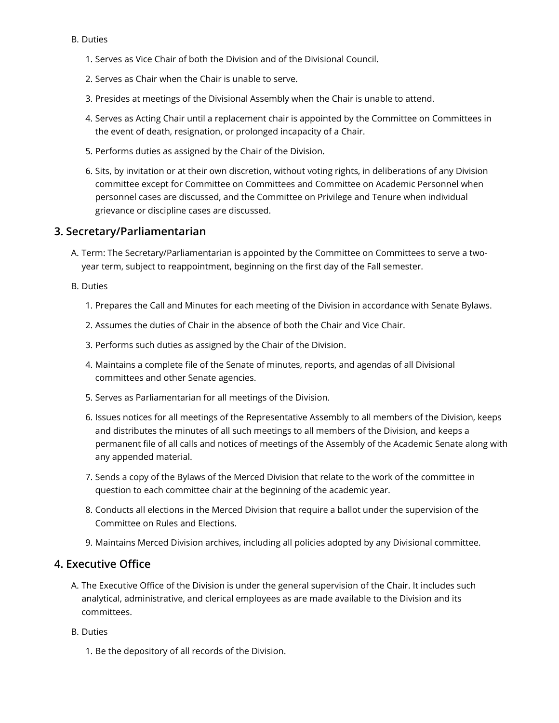#### B. Duties

- 1. Serves as Vice Chair of both the Division and of the Divisional Council.
- 2. Serves as Chair when the Chair is unable to serve.
- 3. Presides at meetings of the Divisional Assembly when the Chair is unable to attend.
- 4. Serves as Acting Chair until a replacement chair is appointed by the Committee on Committees in the event of death, resignation, or prolonged incapacity of a Chair.
- 5. Performs duties as assigned by the Chair of the Division.
- 6. Sits, by invitation or at their own discretion, without voting rights, in deliberations of any Division committee except for Committee on Committees and Committee on Academic Personnel when personnel cases are discussed, and the Committee on Privilege and Tenure when individual grievance or discipline cases are discussed.

#### **3. Secretary/Parliamentarian**

- A. Term: The Secretary/Parliamentarian is appointed by the Committee on Committees to serve a twoyear term, subject to reappointment, beginning on the first day of the Fall semester.
- B. Duties
	- 1. Prepares the Call and Minutes for each meeting of the Division in accordance with Senate Bylaws.
	- 2. Assumes the duties of Chair in the absence of both the Chair and Vice Chair.
	- 3. Performs such duties as assigned by the Chair of the Division.
	- 4. Maintains a complete file of the Senate of minutes, reports, and agendas of all Divisional committees and other Senate agencies.
	- 5. Serves as Parliamentarian for all meetings of the Division.
	- 6. Issues notices for all meetings of the Representative Assembly to all members of the Division, keeps and distributes the minutes of all such meetings to all members of the Division, and keeps a permanent file of all calls and notices of meetings of the Assembly of the Academic Senate along with any appended material.
	- 7. Sends a copy of the Bylaws of the Merced Division that relate to the work of the committee in question to each committee chair at the beginning of the academic year.
	- 8. Conducts all elections in the Merced Division that require a ballot under the supervision of the Committee on Rules and Elections.
	- 9. Maintains Merced Division archives, including all policies adopted by any Divisional committee.

### **4. Executive Office**

- A. The Executive Office of the Division is under the general supervision of the Chair. It includes such analytical, administrative, and clerical employees as are made available to the Division and its committees.
- B. Duties
	- 1. Be the depository of all records of the Division.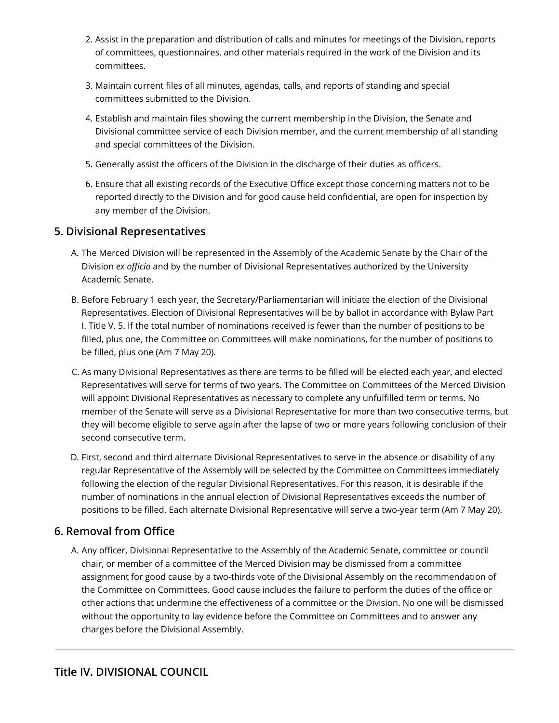- 2. Assist in the preparation and distribution of calls and minutes for meetings of the Division, reports of committees, questionnaires, and other materials required in the work of the Division and its committees.
- 3. Maintain current files of all minutes, agendas, calls, and reports of standing and special committees submitted to the Division.
- 4. Establish and maintain files showing the current membership in the Division, the Senate and Divisional committee service of each Division member, and the current membership of all standing and special committees of the Division.
- 5. Generally assist the officers of the Division in the discharge of their duties as officers.
- 6. Ensure that all existing records of the Executive Office except those concerning matters not to be reported directly to the Division and for good cause held confidential, are open for inspection by any member of the Division.

### **5. Divisional Representatives**

- A. The Merced Division will be represented in the Assembly of the Academic Senate by the Chair of the Division *ex officio* and by the number of Divisional Representatives authorized by the University Academic Senate.
- B. Before February 1 each year, the Secretary/Parliamentarian will initiate the election of the Divisional Representatives. Election of Divisional Representatives will be by ballot in accordance with Bylaw Part I. Title V. 5. If the total number of nominations received is fewer than the number of positions to be filled, plus one, the Committee on Committees will make nominations, for the number of positions to be filled, plus one (Am 7 May 20).
- C. As many Divisional Representatives as there are terms to be filled will be elected each year, and elected Representatives will serve for terms of two years. The Committee on Committees of the Merced Division will appoint Divisional Representatives as necessary to complete any unfulfilled term or terms. No member of the Senate will serve as a Divisional Representative for more than two consecutive terms, but they will become eligible to serve again after the lapse of two or more years following conclusion of their second consecutive term.
- D. First, second and third alternate Divisional Representatives to serve in the absence or disability of any regular Representative of the Assembly will be selected by the Committee on Committees immediately following the election of the regular Divisional Representatives. For this reason, it is desirable if the number of nominations in the annual election of Divisional Representatives exceeds the number of positions to be filled. Each alternate Divisional Representative will serve a two-year term (Am 7 May 20).

### **6. Removal from Office**

A. Any officer, Divisional Representative to the Assembly of the Academic Senate, committee or council chair, or member of a committee of the Merced Division may be dismissed from a committee assignment for good cause by a two-thirds vote of the Divisional Assembly on the recommendation of the Committee on Committees. Good cause includes the failure to perform the duties of the office or other actions that undermine the effectiveness of a committee or the Division. No one will be dismissed without the opportunity to lay evidence before the Committee on Committees and to answer any charges before the Divisional Assembly.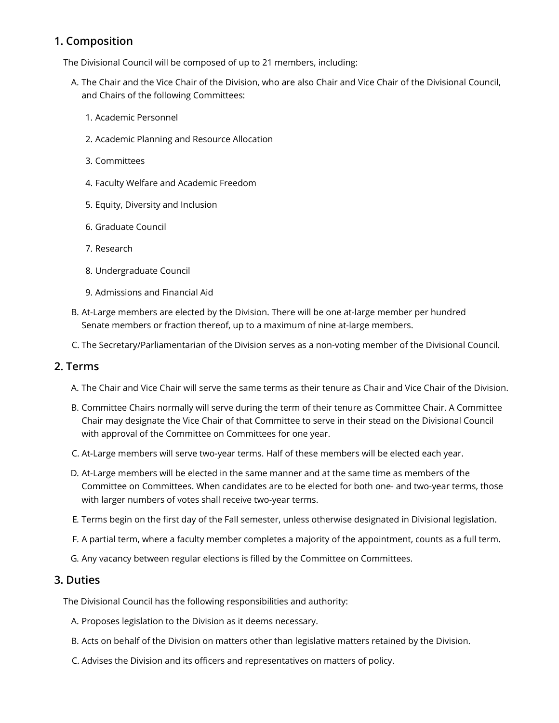### **1. Composition**

The Divisional Council will be composed of up to 21 members, including:

- A. The Chair and the Vice Chair of the Division, who are also Chair and Vice Chair of the Divisional Council, and Chairs of the following Committees:
	- 1. Academic Personnel
	- 2. Academic Planning and Resource Allocation
	- 3. Committees
	- 4. Faculty Welfare and Academic Freedom
	- 5. Equity, Diversity and Inclusion
	- 6. Graduate Council
	- 7. Research
	- 8. Undergraduate Council
	- 9. Admissions and Financial Aid
- B. At-Large members are elected by the Division. There will be one at-large member per hundred Senate members or fraction thereof, up to a maximum of nine at-large members.
- C. The Secretary/Parliamentarian of the Division serves as a non-voting member of the Divisional Council.

#### **2. Terms**

- A. The Chair and Vice Chair will serve the same terms as their tenure as Chair and Vice Chair of the Division.
- B. Committee Chairs normally will serve during the term of their tenure as Committee Chair. A Committee Chair may designate the Vice Chair of that Committee to serve in their stead on the Divisional Council with approval of the Committee on Committees for one year.
- C. At-Large members will serve two-year terms. Half of these members will be elected each year.
- D. At-Large members will be elected in the same manner and at the same time as members of the Committee on Committees. When candidates are to be elected for both one- and two-year terms, those with larger numbers of votes shall receive two-year terms.
- E. Terms begin on the first day of the Fall semester, unless otherwise designated in Divisional legislation.
- F. A partial term, where a faculty member completes a majority of the appointment, counts as a full term.
- G. Any vacancy between regular elections is filled by the Committee on Committees.

### **3. Duties**

The Divisional Council has the following responsibilities and authority:

- A. Proposes legislation to the Division as it deems necessary.
- B. Acts on behalf of the Division on matters other than legislative matters retained by the Division.
- C. Advises the Division and its officers and representatives on matters of policy.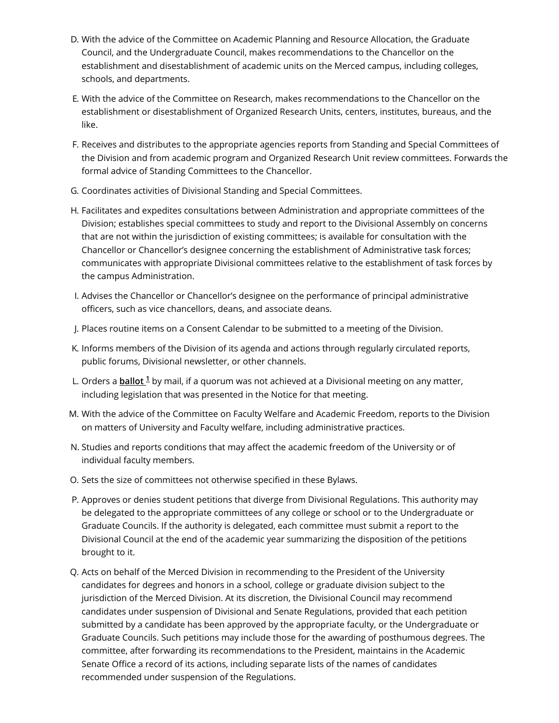- D. With the advice of the Committee on Academic Planning and Resource Allocation, the Graduate Council, and the Undergraduate Council, makes recommendations to the Chancellor on the establishment and disestablishment of academic units on the Merced campus, including colleges, schools, and departments.
- E. With the advice of the Committee on Research, makes recommendations to the Chancellor on the establishment or disestablishment of Organized Research Units, centers, institutes, bureaus, and the like.
- F. Receives and distributes to the appropriate agencies reports from Standing and Special Committees of the Division and from academic program and Organized Research Unit review committees. Forwards the formal advice of Standing Committees to the Chancellor.
- G. Coordinates activities of Divisional Standing and Special Committees.
- H. Facilitates and expedites consultations between Administration and appropriate committees of the Division; establishes special committees to study and report to the Divisional Assembly on concerns that are not within the jurisdiction of existing committees; is available for consultation with the Chancellor or Chancellor's designee concerning the establishment of Administrative task forces; communicates with appropriate Divisional committees relative to the establishment of task forces by the campus Administration.
- I. Advises the Chancellor or Chancellor's designee on the performance of principal administrative officers, such as vice chancellors, deans, and associate deans.
- J. Places routine items on a Consent Calendar to be submitted to a meeting of the Division.
- K. Informs members of the Division of its agenda and actions through regularly circulated reports, public forums, Divisional newsletter, or other channels.
- L. Orders a *ballot* <sup>1</sup> by mail, if a quorum was not achieved at a Divisional meeting on any matter, including legislation that was presented in the Notice for that meeting.
- M. With the advice of the Committee on Faculty Welfare and Academic Freedom, reports to the Division on matters of University and Faculty welfare, including administrative practices.
- N. Studies and reports conditions that may affect the academic freedom of the University or of individual faculty members.
- O. Sets the size of committees not otherwise specified in these Bylaws.
- P. Approves or denies student petitions that diverge from Divisional Regulations. This authority may be delegated to the appropriate committees of any college or school or to the Undergraduate or Graduate Councils. If the authority is delegated, each committee must submit a report to the Divisional Council at the end of the academic year summarizing the disposition of the petitions brought to it.
- Q. Acts on behalf of the Merced Division in recommending to the President of the University candidates for degrees and honors in a school, college or graduate division subject to the jurisdiction of the Merced Division. At its discretion, the Divisional Council may recommend candidates under suspension of Divisional and Senate Regulations, provided that each petition submitted by a candidate has been approved by the appropriate faculty, or the Undergraduate or Graduate Councils. Such petitions may include those for the awarding of posthumous degrees. The committee, after forwarding its recommendations to the President, maintains in the Academic Senate Office a record of its actions, including separate lists of the names of candidates recommended under suspension of the Regulations.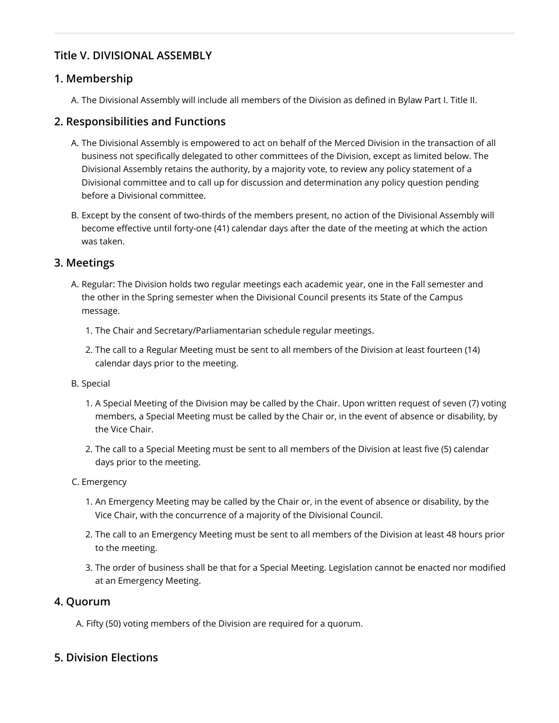### **Title V. DIVISIONAL ASSEMBLY**

### **1. Membership**

A. The Divisional Assembly will include all members of the Division as defined in Bylaw Part I. Title II.

### **2. Responsibilities and Functions**

- A. The Divisional Assembly is empowered to act on behalf of the Merced Division in the transaction of all business not specifically delegated to other committees of the Division, except as limited below. The Divisional Assembly retains the authority, by a majority vote, to review any policy statement of a Divisional committee and to call up for discussion and determination any policy question pending before a Divisional committee.
- B. Except by the consent of two-thirds of the members present, no action of the Divisional Assembly will become effective until forty-one (41) calendar days after the date of the meeting at which the action was taken.

### **3. Meetings**

- A. Regular: The Division holds two regular meetings each academic year, one in the Fall semester and the other in the Spring semester when the Divisional Council presents its State of the Campus message.
	- 1. The Chair and Secretary/Parliamentarian schedule regular meetings.
	- 2. The call to a Regular Meeting must be sent to all members of the Division at least fourteen (14) calendar days prior to the meeting.

#### B. Special

- 1. A Special Meeting of the Division may be called by the Chair. Upon written request of seven (7) voting members, a Special Meeting must be called by the Chair or, in the event of absence or disability, by the Vice Chair.
- 2. The call to a Special Meeting must be sent to all members of the Division at least five (5) calendar days prior to the meeting.

#### C. Emergency

- 1. An Emergency Meeting may be called by the Chair or, in the event of absence or disability, by the Vice Chair, with the concurrence of a majority of the Divisional Council.
- 2. The call to an Emergency Meeting must be sent to all members of the Division at least 48 hours prior to the meeting.
- 3. The order of business shall be that for a Special Meeting. Legislation cannot be enacted nor modified at an Emergency Meeting.

### **4. Quorum**

A. Fifty (50) voting members of the Division are required for a quorum.

### **5. Division Elections**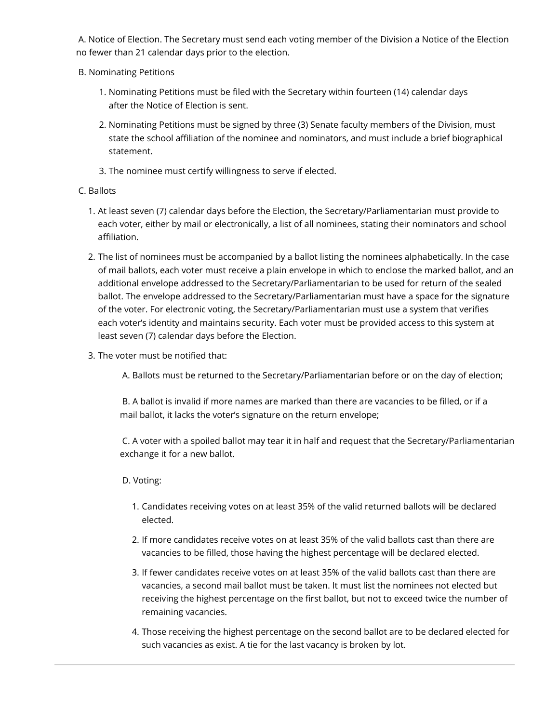A. Notice of Election. The Secretary must send each voting member of the Division a Notice of the Election no fewer than 21 calendar days prior to the election.

- B. Nominating Petitions
	- 1. Nominating Petitions must be filed with the Secretary within fourteen (14) calendar days after the Notice of Election is sent.
	- 2. Nominating Petitions must be signed by three (3) Senate faculty members of the Division, must state the school affiliation of the nominee and nominators, and must include a brief biographical statement.
	- 3. The nominee must certify willingness to serve if elected.

#### C. Ballots

- 1. At least seven (7) calendar days before the Election, the Secretary/Parliamentarian must provide to each voter, either by mail or electronically, a list of all nominees, stating their nominators and school affiliation.
- 2. The list of nominees must be accompanied by a ballot listing the nominees alphabetically. In the case of mail ballots, each voter must receive a plain envelope in which to enclose the marked ballot, and an additional envelope addressed to the Secretary/Parliamentarian to be used for return of the sealed ballot. The envelope addressed to the Secretary/Parliamentarian must have a space for the signature of the voter. For electronic voting, the Secretary/Parliamentarian must use a system that verifies each voter's identity and maintains security. Each voter must be provided access to this system at least seven (7) calendar days before the Election.
- 3. The voter must be notified that:
	- A. Ballots must be returned to the Secretary/Parliamentarian before or on the day of election;

 B. A ballot is invalid if more names are marked than there are vacancies to be filled, or if a mail ballot, it lacks the voter's signature on the return envelope;

 C. A voter with a spoiled ballot may tear it in half and request that the Secretary/Parliamentarian exchange it for a new ballot.

#### D. Voting:

- 1. Candidates receiving votes on at least 35% of the valid returned ballots will be declared elected.
- 2. If more candidates receive votes on at least 35% of the valid ballots cast than there are vacancies to be filled, those having the highest percentage will be declared elected.
- 3. If fewer candidates receive votes on at least 35% of the valid ballots cast than there are vacancies, a second mail ballot must be taken. It must list the nominees not elected but receiving the highest percentage on the first ballot, but not to exceed twice the number of remaining vacancies.
- 4. Those receiving the highest percentage on the second ballot are to be declared elected for such vacancies as exist. A tie for the last vacancy is broken by lot.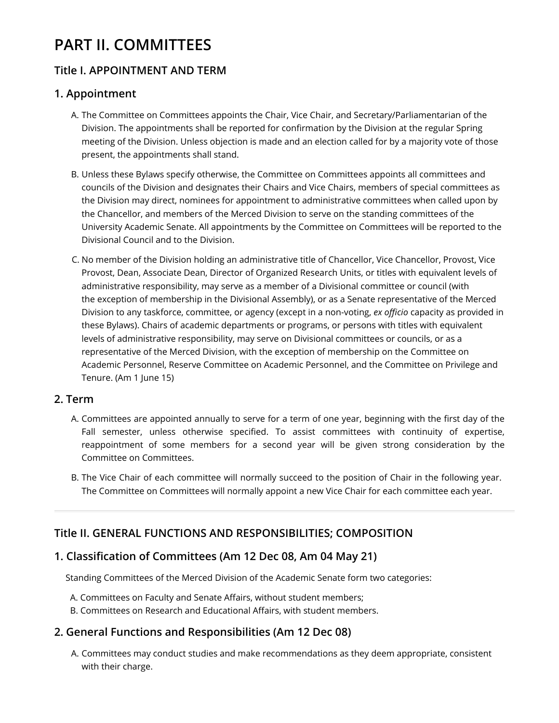# **PART II. COMMITTEES**

### **Title I. APPOINTMENT AND TERM**

### **1. Appointment**

- A. The Committee on Committees appoints the Chair, Vice Chair, and Secretary/Parliamentarian of the Division. The appointments shall be reported for confirmation by the Division at the regular Spring meeting of the Division. Unless objection is made and an election called for by a majority vote of those present, the appointments shall stand.
- B. Unless these Bylaws specify otherwise, the Committee on Committees appoints all committees and councils of the Division and designates their Chairs and Vice Chairs, members of special committees as the Division may direct, nominees for appointment to administrative committees when called upon by the Chancellor, and members of the Merced Division to serve on the standing committees of the University Academic Senate. All appointments by the Committee on Committees will be reported to the Divisional Council and to the Division.
- C. No member of the Division holding an administrative title of Chancellor, Vice Chancellor, Provost, Vice Provost, Dean, Associate Dean, Director of Organized Research Units, or titles with equivalent levels of administrative responsibility, may serve as a member of a Divisional committee or council (with the exception of membership in the Divisional Assembly), or as a Senate representative of the Merced Division to any taskforce, committee, or agency (except in a non-voting, *ex officio* capacity as provided in these Bylaws). Chairs of academic departments or programs, or persons with titles with equivalent levels of administrative responsibility, may serve on Divisional committees or councils, or as a representative of the Merced Division, with the exception of membership on the Committee on Academic Personnel, Reserve Committee on Academic Personnel, and the Committee on Privilege and Tenure. (Am 1 June 15)

### **2. Term**

- A. Committees are appointed annually to serve for a term of one year, beginning with the first day of the Fall semester, unless otherwise specified. To assist committees with continuity of expertise, reappointment of some members for a second year will be given strong consideration by the Committee on Committees.
- <span id="page-8-0"></span>B. The Vice Chair of each committee will normally succeed to the position of Chair in the following year. The Committee on Committees will normally appoint a new Vice Chair for each committee each year.

### **Title II. GENERAL FUNCTIONS AND RESPONSIBILITIES; COMPOSITION**

### **1. Classification of Committees (Am 12 Dec 08, Am 04 May 21)**

Standing Committees of the Merced Division of the Academic Senate form two categories:

- A. Committees on Faculty and Senate Affairs, without student members;
- B. Committees on Research and Educational Affairs, with student members.

### **2. General Functions and Responsibilities (Am 12 Dec 08)**

A. Committees may conduct studies and make recommendations as they deem appropriate, consistent with their charge.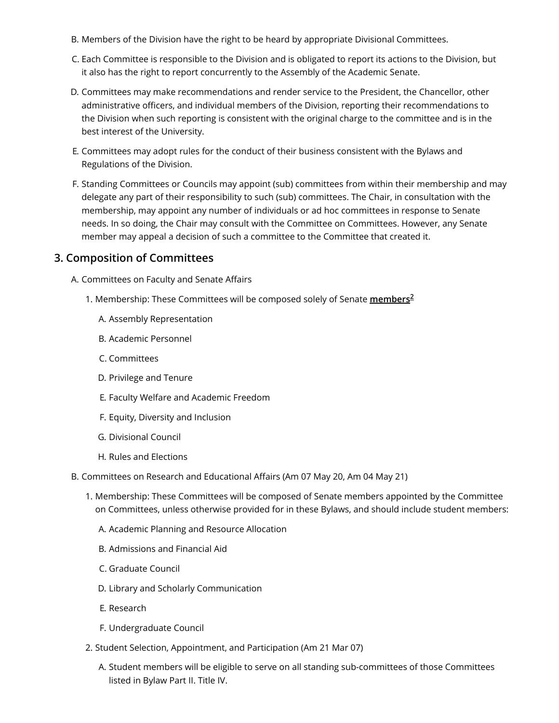- B. Members of the Division have the right to be heard by appropriate Divisional Committees.
- C. Each Committee is responsible to the Division and is obligated to report its actions to the Division, but it also has the right to report concurrently to the Assembly of the Academic Senate.
- D. Committees may make recommendations and render service to the President, the Chancellor, other administrative officers, and individual members of the Division, reporting their recommendations to the Division when such reporting is consistent with the original charge to the committee and is in the best interest of the University.
- E. Committees may adopt rules for the conduct of their business consistent with the Bylaws and Regulations of the Division.
- F. Standing Committees or Councils may appoint (sub) committees from within their membership and may delegate any part of their responsibility to such (sub) committees. The Chair, in consultation with the membership, may appoint any number of individuals or ad hoc committees in response to Senate needs. In so doing, the Chair may consult with the Committee on Committees. However, any Senate member may appeal a decision of such a committee to the Committee that created it.

#### **3. Composition of Committees**

- A. Committees on Faculty and Senate Affairs
	- 1. Membership: These Committees will be composed solely of Senate **[members](#page-24-1) 2**
		- A. Assembly Representation
		- B. Academic Personnel
		- C. Committees
		- D. Privilege and Tenure
		- E. Faculty Welfare and Academic Freedom
		- F. Equity, Diversity and Inclusion
		- G. Divisional Council
		- H. Rules and Elections
- B. Committees on Research and Educational Affairs (Am 07 May 20, Am 04 May 21)
	- 1. Membership: These Committees will be composed of Senate members appointed by the Committee on Committees, unless otherwise provided for in these Bylaws, and should include student members:
		- A. Academic Planning and Resource Allocation
		- B. Admissions and Financial Aid
		- C. Graduate Council
		- D. Library and Scholarly Communication
		- E. Research
		- F. Undergraduate Council
	- 2. Student Selection, Appointment, and Participation (Am 21 Mar 07)
		- A. Student members will be eligible to serve on all standing sub-committees of those Committees listed in Bylaw Part II. Title IV.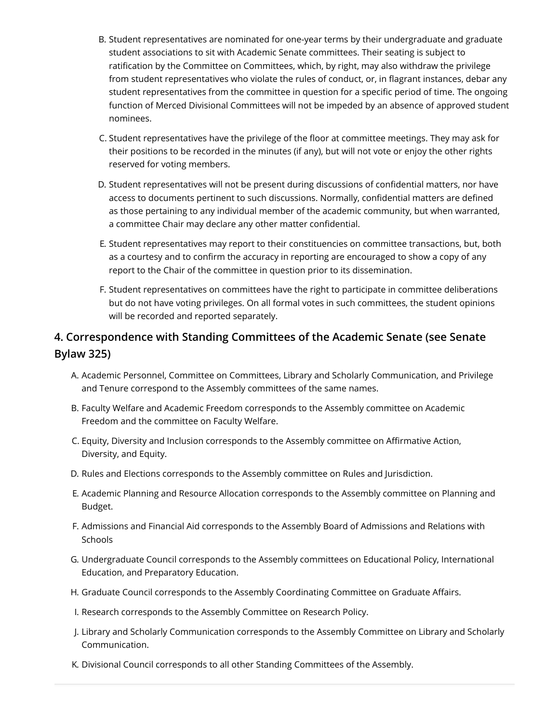- B. Student representatives are nominated for one-year terms by their undergraduate and graduate student associations to sit with Academic Senate committees. Their seating is subject to ratification by the Committee on Committees, which, by right, may also withdraw the privilege from student representatives who violate the rules of conduct, or, in flagrant instances, debar any student representatives from the committee in question for a specific period of time. The ongoing function of Merced Divisional Committees will not be impeded by an absence of approved student nominees.
- C. Student representatives have the privilege of the floor at committee meetings. They may ask for their positions to be recorded in the minutes (if any), but will not vote or enjoy the other rights reserved for voting members.
- D. Student representatives will not be present during discussions of confidential matters, nor have access to documents pertinent to such discussions. Normally, confidential matters are defined as those pertaining to any individual member of the academic community, but when warranted, a committee Chair may declare any other matter confidential.
- E. Student representatives may report to their constituencies on committee transactions, but, both as a courtesy and to confirm the accuracy in reporting are encouraged to show a copy of any report to the Chair of the committee in question prior to its dissemination.
- F. Student representatives on committees have the right to participate in committee deliberations but do not have voting privileges. On all formal votes in such committees, the student opinions will be recorded and reported separately.

### **4. Correspondence with Standing Committees of the Academic Senate (see Senate Bylaw 325)**

- A. Academic Personnel, Committee on Committees, Library and Scholarly Communication, and Privilege and Tenure correspond to the Assembly committees of the same names.
- B. Faculty Welfare and Academic Freedom corresponds to the Assembly committee on Academic Freedom and the committee on Faculty Welfare.
- C. Equity, Diversity and Inclusion corresponds to the Assembly committee on Affirmative Action, Diversity, and Equity.
- D. Rules and Elections corresponds to the Assembly committee on Rules and Jurisdiction.
- E. Academic Planning and Resource Allocation corresponds to the Assembly committee on Planning and Budget.
- F. Admissions and Financial Aid corresponds to the Assembly Board of Admissions and Relations with Schools
- G. Undergraduate Council corresponds to the Assembly committees on Educational Policy, International Education, and Preparatory Education.
- H. Graduate Council corresponds to the Assembly Coordinating Committee on Graduate Affairs.
- I. Research corresponds to the Assembly Committee on Research Policy.
- J. Library and Scholarly Communication corresponds to the Assembly Committee on Library and Scholarly Communication.
- K. Divisional Council corresponds to all other Standing Committees of the Assembly.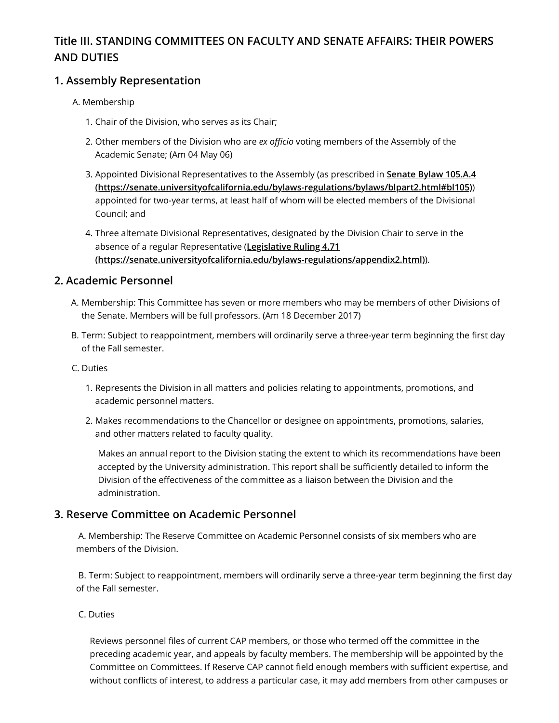### **Title III. STANDING COMMITTEES ON FACULTY AND SENATE AFFAIRS: THEIR POWERS AND DUTIES**

### **1. Assembly Representation**

- A. Membership
	- 1. Chair of the Division, who serves as its Chair;
	- 2. Other members of the Division who are *ex officio* voting members of the Assembly of the Academic Senate; (Am 04 May 06)
	- 3. Appointed Divisional Representatives to the Assembly (as prescribed in **Senate Bylaw 105.A.4 [\(https://senate.universityofcalifornia.edu/bylaws-regulations/bylaws/blpart2.html#bl105\)](https://senate.universityofcalifornia.edu/bylaws-regulations/bylaws/blpart2.html#bl105)**) appointed for two-year terms, at least half of whom will be elected members of the Divisional Council; and
	- 4. Three alternate Divisional Representatives, designated by the Division Chair to serve in the absence of a regular Representative (**Legislative Ruling 4.71 [\(https://senate.universityofcalifornia.edu/bylaws-regulations/appendix2.html\)](https://senate.universityofcalifornia.edu/bylaws-regulations/appendix2.html)**).

### **2. Academic Personnel**

- A. Membership: This Committee has seven or more members who may be members of other Divisions of the Senate. Members will be full professors. (Am 18 December 2017)
- B. Term: Subject to reappointment, members will ordinarily serve a three-year term beginning the first day of the Fall semester.
- C. Duties
	- 1. Represents the Division in all matters and policies relating to appointments, promotions, and academic personnel matters.
	- 2. Makes recommendations to the Chancellor or designee on appointments, promotions, salaries, and other matters related to faculty quality.

Makes an annual report to the Division stating the extent to which its recommendations have been accepted by the University administration. This report shall be sufficiently detailed to inform the Division of the effectiveness of the committee as a liaison between the Division and the administration.

### **3. Reserve Committee on Academic Personnel**

 A. Membership: The Reserve Committee on Academic Personnel consists of six members who are members of the Division.

 B. Term: Subject to reappointment, members will ordinarily serve a three-year term beginning the first day of the Fall semester.

#### C. Duties

Reviews personnel files of current CAP members, or those who termed off the committee in the preceding academic year, and appeals by faculty members. The membership will be appointed by the Committee on Committees. If Reserve CAP cannot field enough members with sufficient expertise, and without conflicts of interest, to address a particular case, it may add members from other campuses or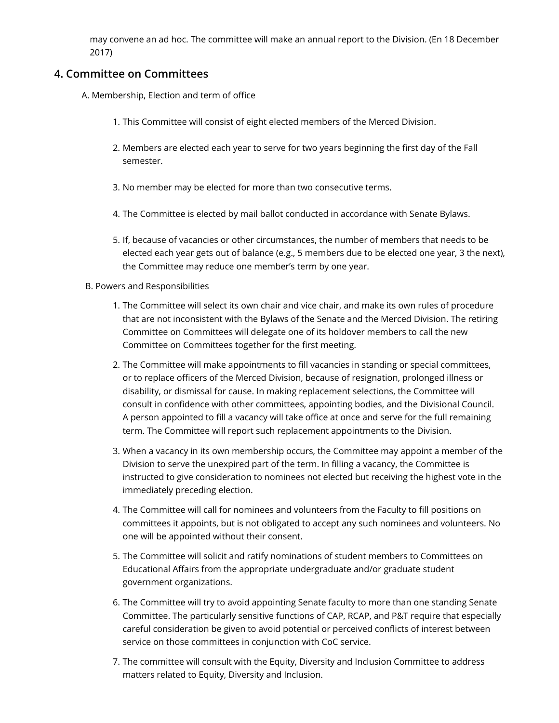may convene an ad hoc. The committee will make an annual report to the Division. (En 18 December 2017)

### **4. Committee on Committees**

- A. Membership, Election and term of office
	- 1. This Committee will consist of eight elected members of the Merced Division.
	- 2. Members are elected each year to serve for two years beginning the first day of the Fall semester.
	- 3. No member may be elected for more than two consecutive terms.
	- 4. The Committee is elected by mail ballot conducted in accordance with Senate Bylaws.
	- 5. If, because of vacancies or other circumstances, the number of members that needs to be elected each year gets out of balance (e.g., 5 members due to be elected one year, 3 the next), the Committee may reduce one member's term by one year.

#### B. Powers and Responsibilities

- 1. The Committee will select its own chair and vice chair, and make its own rules of procedure that are not inconsistent with the Bylaws of the Senate and the Merced Division. The retiring Committee on Committees will delegate one of its holdover members to call the new Committee on Committees together for the first meeting.
- 2. The Committee will make appointments to fill vacancies in standing or special committees, or to replace officers of the Merced Division, because of resignation, prolonged illness or disability, or dismissal for cause. In making replacement selections, the Committee will consult in confidence with other committees, appointing bodies, and the Divisional Council. A person appointed to fill a vacancy will take office at once and serve for the full remaining term. The Committee will report such replacement appointments to the Division.
- 3. When a vacancy in its own membership occurs, the Committee may appoint a member of the Division to serve the unexpired part of the term. In filling a vacancy, the Committee is instructed to give consideration to nominees not elected but receiving the highest vote in the immediately preceding election.
- 4. The Committee will call for nominees and volunteers from the Faculty to fill positions on committees it appoints, but is not obligated to accept any such nominees and volunteers. No one will be appointed without their consent.
- 5. The Committee will solicit and ratify nominations of student members to Committees on Educational Affairs from the appropriate undergraduate and/or graduate student government organizations.
- 6. The Committee will try to avoid appointing Senate faculty to more than one standing Senate Committee. The particularly sensitive functions of CAP, RCAP, and P&T require that especially careful consideration be given to avoid potential or perceived conflicts of interest between service on those committees in conjunction with CoC service.
- 7. The committee will consult with the Equity, Diversity and Inclusion Committee to address matters related to Equity, Diversity and Inclusion.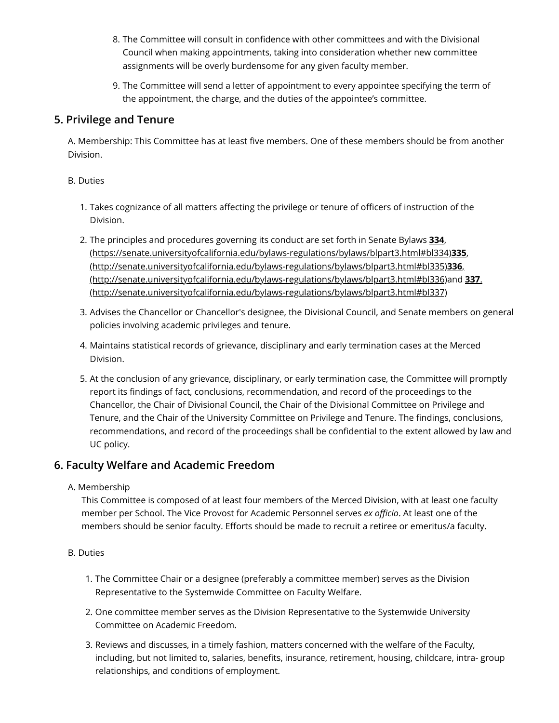- 8. The Committee will consult in confidence with other committees and with the Divisional Council when making appointments, taking into consideration whether new committee assignments will be overly burdensome for any given faculty member.
- 9. The Committee will send a letter of appointment to every appointee specifying the term of the appointment, the charge, and the duties of the appointee's committee.

### **5. Privilege and Tenure**

A. Membership: This Committee has at least five members. One of these members should be from another Division.

#### B. Duties

- 1. Takes cognizance of all matters affecting the privilege or tenure of officers of instruction of the Division.
- 2. The principles and procedures governing its conduct are set forth in Senate Bylaws **334**, [\(https://senate.universityofcalifornia.edu/bylaws-regulations/bylaws/blpart3.html#bl334](https://senate.universityofcalifornia.edu/bylaws-regulations/bylaws/blpart3.html#bl334)[\)](http://senate.universityofcalifornia.edu/bylaws-regulations/bylaws/blpart3.html#bl335)**335**, (http://senate.universityofcalifornia.edu/bylaws-regulations/bylaws/blpart3.html#bl335)**336**, [\(http://senate.universityofcalifornia.edu/bylaws-regulations/bylaws/blpart3.html#bl336\)and](http://senate.universityofcalifornia.edu/bylaws-regulations/bylaws/blpart3.html#bl336)**337**. (http://senate.universityofcalifornia.edu/bylaws-regulations/bylaws/blpart3.html#bl337)
- 3. Advises the Chancellor or Chancellor's designee, the Divisional Council, and Senate members on general policies involving academic privileges and tenure.
- 4. Maintains statistical records of grievance, disciplinary and early termination cases at the Merced Division.
- 5. At the conclusion of any grievance, disciplinary, or early termination case, the Committee will promptly report its findings of fact, conclusions, recommendation, and record of the proceedings to the Chancellor, the Chair of Divisional Council, the Chair of the Divisional Committee on Privilege and Tenure, and the Chair of the University Committee on Privilege and Tenure. The findings, conclusions, recommendations, and record of the proceedings shall be confidential to the extent allowed by law and UC policy.

### **6. Faculty Welfare and Academic Freedom**

### A. Membership

This Committee is composed of at least four members of the Merced Division, with at least one faculty member per School. The Vice Provost for Academic Personnel serves *ex officio*. At least one of the members should be senior faculty. Efforts should be made to recruit a retiree or emeritus/a faculty.

#### B. Duties

- 1. The Committee Chair or a designee (preferably a committee member) serves as the Division Representative to the Systemwide Committee on Faculty Welfare.
- 2. One committee member serves as the Division Representative to the Systemwide University Committee on Academic Freedom.
- 3. Reviews and discusses, in a timely fashion, matters concerned with the welfare of the Faculty, including, but not limited to, salaries, benefits, insurance, retirement, housing, childcare, intra- group relationships, and conditions of employment.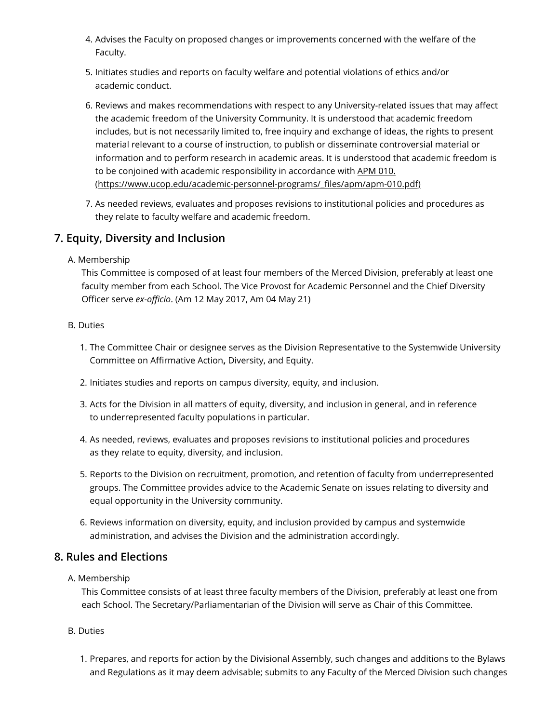- 4. Advises the Faculty on proposed changes or improvements concerned with the welfare of the Faculty.
- 5. Initiates studies and reports on faculty welfare and potential violations of ethics and/or academic conduct.
- 6. Reviews and makes recommendations with respect to any University-related issues that may affect the academic freedom of the University Community. It is understood that academic freedom includes, but is not necessarily limited to, free inquiry and exchange of ideas, the rights to present material relevant to a course of instruction, to publish or disseminate controversial material or information and to perform research in academic areas. It is understood that academic freedom is to be conjoined with academic responsibility in accordance with APM 010. [\(https://www.ucop.edu/academic-personnel-programs/\\_files/apm/apm-010.pdf\)](https://www.ucop.edu/academic-personnel-programs/_files/apm/apm-010.pdf)
- 7. As needed reviews, evaluates and proposes revisions to institutional policies and procedures as they relate to faculty welfare and academic freedom.

### **7. Equity, Diversity and Inclusion**

#### A. Membership

This Committee is composed of at least four members of the Merced Division, preferably at least one faculty member from each School. The Vice Provost for Academic Personnel and the Chief Diversity Officer serve *ex-officio*. (Am 12 May 2017, Am 04 May 21)

#### B. Duties

- 1. The Committee Chair or designee serves as the Division Representative to the Systemwide University Committee on Affirmative Action**,** Diversity, and Equity.
- 2. Initiates studies and reports on campus diversity, equity, and inclusion.
- 3. Acts for the Division in all matters of equity, diversity, and inclusion in general, and in reference to underrepresented faculty populations in particular.
- 4. As needed, reviews, evaluates and proposes revisions to institutional policies and procedures as they relate to equity, diversity, and inclusion.
- 5. Reports to the Division on recruitment, promotion, and retention of faculty from underrepresented groups. The Committee provides advice to the Academic Senate on issues relating to diversity and equal opportunity in the University community.
- 6. Reviews information on diversity, equity, and inclusion provided by campus and systemwide administration, and advises the Division and the administration accordingly.

### **8. Rules and Elections**

#### A. Membership

This Committee consists of at least three faculty members of the Division, preferably at least one from each School. The Secretary/Parliamentarian of the Division will serve as Chair of this Committee.

- B. Duties
	- 1. Prepares, and reports for action by the Divisional Assembly, such changes and additions to the Bylaws and Regulations as it may deem advisable; submits to any Faculty of the Merced Division such changes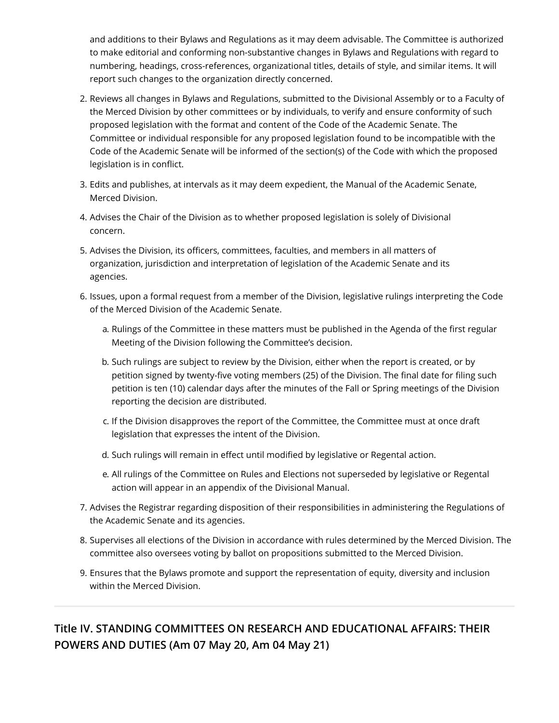and additions to their Bylaws and Regulations as it may deem advisable. The Committee is authorized to make editorial and conforming non-substantive changes in Bylaws and Regulations with regard to numbering, headings, cross-references, organizational titles, details of style, and similar items. It will report such changes to the organization directly concerned.

- 2. Reviews all changes in Bylaws and Regulations, submitted to the Divisional Assembly or to a Faculty of the Merced Division by other committees or by individuals, to verify and ensure conformity of such proposed legislation with the format and content of the Code of the Academic Senate. The Committee or individual responsible for any proposed legislation found to be incompatible with the Code of the Academic Senate will be informed of the section(s) of the Code with which the proposed legislation is in conflict.
- 3. Edits and publishes, at intervals as it may deem expedient, the Manual of the Academic Senate, Merced Division.
- 4. Advises the Chair of the Division as to whether proposed legislation is solely of Divisional concern.
- 5. Advises the Division, its officers, committees, faculties, and members in all matters of organization, jurisdiction and interpretation of legislation of the Academic Senate and its agencies.
- 6. Issues, upon a formal request from a member of the Division, legislative rulings interpreting the Code of the Merced Division of the Academic Senate.
	- a. Rulings of the Committee in these matters must be published in the Agenda of the first regular Meeting of the Division following the Committee's decision.
	- b. Such rulings are subject to review by the Division, either when the report is created, or by petition signed by twenty-five voting members (25) of the Division. The final date for filing such petition is ten (10) calendar days after the minutes of the Fall or Spring meetings of the Division reporting the decision are distributed.
	- c. If the Division disapproves the report of the Committee, the Committee must at once draft legislation that expresses the intent of the Division.
	- d. Such rulings will remain in effect until modified by legislative or Regental action.
	- e. All rulings of the Committee on Rules and Elections not superseded by legislative or Regental action will appear in an appendix of the Divisional Manual.
- 7. Advises the Registrar regarding disposition of their responsibilities in administering the Regulations of the Academic Senate and its agencies.
- 8. Supervises all elections of the Division in accordance with rules determined by the Merced Division. The committee also oversees voting by ballot on propositions submitted to the Merced Division.
- 9. Ensures that the Bylaws promote and support the representation of equity, diversity and inclusion within the Merced Division.

**Title IV. STANDING COMMITTEES ON RESEARCH AND EDUCATIONAL AFFAIRS: THEIR POWERS AND DUTIES (Am 07 May 20, Am 04 May 21)**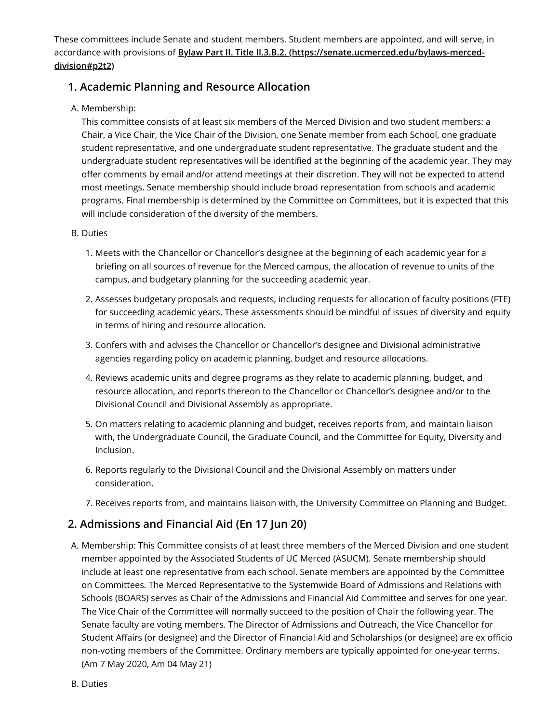These committees include Senate and student members. Student members are appointed, and will serve, in accordance with provisions of **[Bylaw Part II. Title II.3.B.2. \(https://senate.ucmerced.edu/bylaws-merced](#page-8-0)division#p2t2)**

### **1. Academic Planning and Resource Allocation**

### A. Membership:

This committee consists of at least six members of the Merced Division and two student members: a Chair, a Vice Chair, the Vice Chair of the Division, one Senate member from each School, one graduate student representative, and one undergraduate student representative. The graduate student and the undergraduate student representatives will be identified at the beginning of the academic year. They may offer comments by email and/or attend meetings at their discretion. They will not be expected to attend most meetings. Senate membership should include broad representation from schools and academic programs. Final membership is determined by the Committee on Committees, but it is expected that this will include consideration of the diversity of the members.

#### B. Duties

- 1. Meets with the Chancellor or Chancellor's designee at the beginning of each academic year for a briefing on all sources of revenue for the Merced campus, the allocation of revenue to units of the campus, and budgetary planning for the succeeding academic year.
- 2. Assesses budgetary proposals and requests, including requests for allocation of faculty positions (FTE) for succeeding academic years. These assessments should be mindful of issues of diversity and equity in terms of hiring and resource allocation.
- 3. Confers with and advises the Chancellor or Chancellor's designee and Divisional administrative agencies regarding policy on academic planning, budget and resource allocations.
- 4. Reviews academic units and degree programs as they relate to academic planning, budget, and resource allocation, and reports thereon to the Chancellor or Chancellor's designee and/or to the Divisional Council and Divisional Assembly as appropriate.
- 5. On matters relating to academic planning and budget, receives reports from, and maintain liaison with, the Undergraduate Council, the Graduate Council, and the Committee for Equity, Diversity and Inclusion.
- 6. Reports regularly to the Divisional Council and the Divisional Assembly on matters under consideration.
- 7. Receives reports from, and maintains liaison with, the University Committee on Planning and Budget.

### **2. Admissions and Financial Aid (En 17 Jun 20)**

A. Membership: This Committee consists of at least three members of the Merced Division and one student member appointed by the Associated Students of UC Merced (ASUCM). Senate membership should include at least one representative from each school. Senate members are appointed by the Committee on Committees. The Merced Representative to the Systemwide Board of Admissions and Relations with Schools (BOARS) serves as Chair of the Admissions and Financial Aid Committee and serves for one year. The Vice Chair of the Committee will normally succeed to the position of Chair the following year. The Senate faculty are voting members. The Director of Admissions and Outreach, the Vice Chancellor for Student Affairs (or designee) and the Director of Financial Aid and Scholarships (or designee) are ex officio non-voting members of the Committee. Ordinary members are typically appointed for one-year terms. (Am 7 May 2020, Am 04 May 21)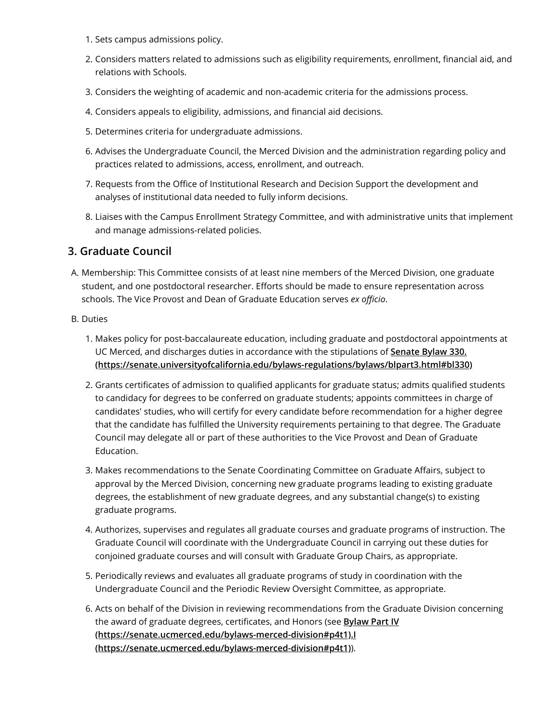- 1. Sets campus admissions policy.
- 2. Considers matters related to admissions such as eligibility requirements, enrollment, financial aid, and relations with Schools.
- 3. Considers the weighting of academic and non-academic criteria for the admissions process.
- 4. Considers appeals to eligibility, admissions, and financial aid decisions.
- 5. Determines criteria for undergraduate admissions.
- 6. Advises the Undergraduate Council, the Merced Division and the administration regarding policy and practices related to admissions, access, enrollment, and outreach.
- 7. Requests from the Office of Institutional Research and Decision Support the development and analyses of institutional data needed to fully inform decisions.
- 8. Liaises with the Campus Enrollment Strategy Committee, and with administrative units that implement and manage admissions-related policies.

#### **3. Graduate Council**

A. Membership: This Committee consists of at least nine members of the Merced Division, one graduate student, and one postdoctoral researcher. Efforts should be made to ensure representation across schools. The Vice Provost and Dean of Graduate Education serves *ex officio*.

#### B. Duties

- 1. Makes policy for post-baccalaureate education, including graduate and postdoctoral appointments at UC Merced, and discharges duties in accordance with the stipulations of **Senate Bylaw 330. [\(https://senate.universityofcalifornia.edu/bylaws-regulations/bylaws/blpart3.html#bl330\)](https://senate.universityofcalifornia.edu/bylaws-regulations/bylaws/blpart3.html#bl330)**
- 2. Grants certificates of admission to qualified applicants for graduate status; admits qualified students to candidacy for degrees to be conferred on graduate students; appoints committees in charge of candidates' studies, who will certify for every candidate before recommendation for a higher degree that the candidate has fulfilled the University requirements pertaining to that degree. The Graduate Council may delegate all or part of these authorities to the Vice Provost and Dean of Graduate Education.
- 3. Makes recommendations to the Senate Coordinating Committee on Graduate Affairs, subject to approval by the Merced Division, concerning new graduate programs leading to existing graduate degrees, the establishment of new graduate degrees, and any substantial change(s) to existing graduate programs.
- 4. Authorizes, supervises and regulates all graduate courses and graduate programs of instruction. The Graduate Council will coordinate with the Undergraduate Council in carrying out these duties for conjoined graduate courses and will consult with Graduate Group Chairs, as appropriate.
- 5. Periodically reviews and evaluates all graduate programs of study in coordination with the Undergraduate Council and the Periodic Review Oversight Committee, as appropriate.
- 6. Acts on behalf of the Division in reviewing recommendations from the Graduate Division concerning the award of graduate degrees, certificates, and Honors (see **Bylaw Part IV [\(https://senate.ucmerced.edu/bylaws-merced-division#p4t1\).I](#page-21-0) (https://senate.ucmerced.edu/bylaws-merced-division#p4t1)**).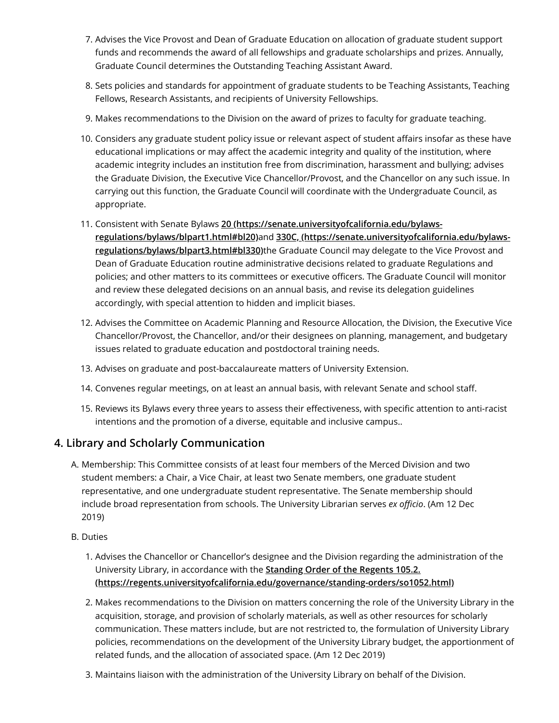- 7. Advises the Vice Provost and Dean of Graduate Education on allocation of graduate student support funds and recommends the award of all fellowships and graduate scholarships and prizes. Annually, Graduate Council determines the Outstanding Teaching Assistant Award.
- 8. Sets policies and standards for appointment of graduate students to be Teaching Assistants, Teaching Fellows, Research Assistants, and recipients of University Fellowships.
- 9. Makes recommendations to the Division on the award of prizes to faculty for graduate teaching.
- 10. Considers any graduate student policy issue or relevant aspect of student affairs insofar as these have educational implications or may affect the academic integrity and quality of the institution, where academic integrity includes an institution free from discrimination, harassment and bullying; advises the Graduate Division, the Executive Vice Chancellor/Provost, and the Chancellor on any such issue. In carrying out this function, the Graduate Council will coordinate with the Undergraduate Council, as appropriate.
- 11. Consistent with Senate Bylaws **[20 \(https://senate.universityofcalifornia.edu/bylaws](https://senate.universityofcalifornia.edu/bylaws-regulations/bylaws/blpart1.html#bl20)regulations/bylaws/blpart1.html#bl20)**and **330C, (https://senate.universityofcalifornia.edu/bylawsregulations/bylaws/blpart3.html#bl330)**[the Graduate Council may delegate to the Vice Provost and](https://senate.universityofcalifornia.edu/bylaws-regulations/bylaws/blpart3.html#bl330) Dean of Graduate Education routine administrative decisions related to graduate Regulations and policies; and other matters to its committees or executive officers. The Graduate Council will monitor and review these delegated decisions on an annual basis, and revise its delegation guidelines accordingly, with special attention to hidden and implicit biases.
- 12. Advises the Committee on Academic Planning and Resource Allocation, the Division, the Executive Vice Chancellor/Provost, the Chancellor, and/or their designees on planning, management, and budgetary issues related to graduate education and postdoctoral training needs.
- 13. Advises on graduate and post-baccalaureate matters of University Extension.
- 14. Convenes regular meetings, on at least an annual basis, with relevant Senate and school staff.
- 15. Reviews its Bylaws every three years to assess their effectiveness, with specific attention to anti-racist intentions and the promotion of a diverse, equitable and inclusive campus..

### **4. Library and Scholarly Communication**

- A. Membership: This Committee consists of at least four members of the Merced Division and two student members: a Chair, a Vice Chair, at least two Senate members, one graduate student representative, and one undergraduate student representative. The Senate membership should include broad representation from schools. The University Librarian serves *ex officio*. (Am 12 Dec 2019)
- B. Duties
	- 1. Advises the Chancellor or Chancellor's designee and the Division regarding the administration of the University Library, in accordance with the **Standing Order of the Regents 105.2. [\(https://regents.universityofcalifornia.edu/governance/standing-orders/so1052.html\)](https://regents.universityofcalifornia.edu/governance/standing-orders/so1052.html)**
	- 2. Makes recommendations to the Division on matters concerning the role of the University Library in the acquisition, storage, and provision of scholarly materials, as well as other resources for scholarly communication. These matters include, but are not restricted to, the formulation of University Library policies, recommendations on the development of the University Library budget, the apportionment of related funds, and the allocation of associated space. (Am 12 Dec 2019)
	- 3. Maintains liaison with the administration of the University Library on behalf of the Division.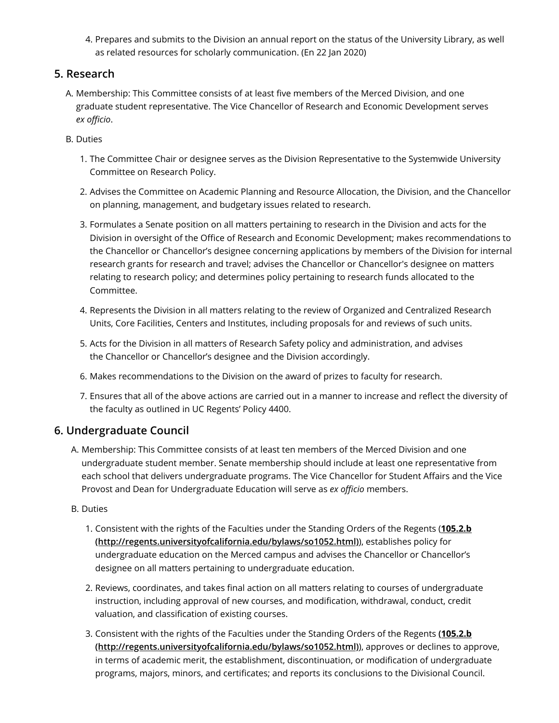4. Prepares and submits to the Division an annual report on the status of the University Library, as well as related resources for scholarly communication. (En 22 Jan 2020)

### **5. Research**

- A. Membership: This Committee consists of at least five members of the Merced Division, and one graduate student representative. The Vice Chancellor of Research and Economic Development serves *ex officio*.
- B. Duties
	- 1. The Committee Chair or designee serves as the Division Representative to the Systemwide University Committee on Research Policy.
	- 2. Advises the Committee on Academic Planning and Resource Allocation, the Division, and the Chancellor on planning, management, and budgetary issues related to research.
	- 3. Formulates a Senate position on all matters pertaining to research in the Division and acts for the Division in oversight of the Office of Research and Economic Development; makes recommendations to the Chancellor or Chancellor's designee concerning applications by members of the Division for internal research grants for research and travel; advises the Chancellor or Chancellor's designee on matters relating to research policy; and determines policy pertaining to research funds allocated to the Committee.
	- 4. Represents the Division in all matters relating to the review of Organized and Centralized Research Units, Core Facilities, Centers and Institutes, including proposals for and reviews of such units.
	- 5. Acts for the Division in all matters of Research Safety policy and administration, and advises the Chancellor or Chancellor's designee and the Division accordingly.
	- 6. Makes recommendations to the Division on the award of prizes to faculty for research.
	- 7. Ensures that all of the above actions are carried out in a manner to increase and reflect the diversity of the faculty as outlined in UC Regents' Policy 4400.

### **6. Undergraduate Council**

- A. Membership: This Committee consists of at least ten members of the Merced Division and one undergraduate student member. Senate membership should include at least one representative from each school that delivers undergraduate programs. The Vice Chancellor for Student Affairs and the Vice Provost and Dean for Undergraduate Education will serve as *ex officio* members.
- B. Duties
	- 1. [Consistent with the rights of the Faculties under the Standing Orders of the Regents \(](http://regents.universityofcalifornia.edu/bylaws/so1052.html)**105.2.b (http://regents.universityofcalifornia.edu/bylaws/so1052.html)**), establishes policy for undergraduate education on the Merced campus and advises the Chancellor or Chancellor's designee on all matters pertaining to undergraduate education.
	- 2. Reviews, coordinates, and takes final action on all matters relating to courses of undergraduate instruction, including approval of new courses, and modification, withdrawal, conduct, credit valuation, and classification of existing courses.
	- 3. [Consistent with the rights of the Faculties under the Standing Orders of the Regents](http://regents.universityofcalifornia.edu/bylaws/so1052.html) **(105.2.b (http://regents.universityofcalifornia.edu/bylaws/so1052.html)**), approves or declines to approve, in terms of academic merit, the establishment, discontinuation, or modification of undergraduate programs, majors, minors, and certificates; and reports its conclusions to the Divisional Council.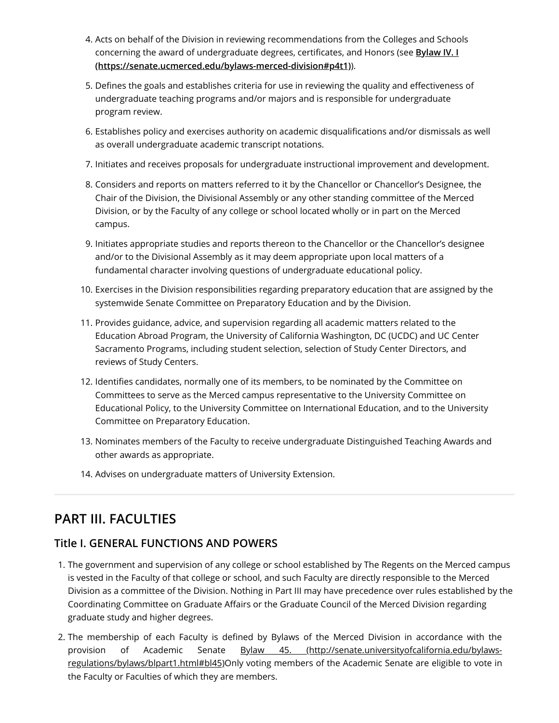- 4. Acts on behalf of the Division in reviewing recommendations from the Colleges and Schools [concerning the award of undergraduate degrees, certificates, and Honors \(see](#page-21-0) **Bylaw IV. I (https://senate.ucmerced.edu/bylaws-merced-division#p4t1)**).
- 5. Defines the goals and establishes criteria for use in reviewing the quality and effectiveness of undergraduate teaching programs and/or majors and is responsible for undergraduate program review.
- 6. Establishes policy and exercises authority on academic disqualifications and/or dismissals as well as overall undergraduate academic transcript notations.
- 7. Initiates and receives proposals for undergraduate instructional improvement and development.
- 8. Considers and reports on matters referred to it by the Chancellor or Chancellor's Designee, the Chair of the Division, the Divisional Assembly or any other standing committee of the Merced Division, or by the Faculty of any college or school located wholly or in part on the Merced campus.
- 9. Initiates appropriate studies and reports thereon to the Chancellor or the Chancellor's designee and/or to the Divisional Assembly as it may deem appropriate upon local matters of a fundamental character involving questions of undergraduate educational policy.
- 10. Exercises in the Division responsibilities regarding preparatory education that are assigned by the systemwide Senate Committee on Preparatory Education and by the Division.
- 11. Provides guidance, advice, and supervision regarding all academic matters related to the Education Abroad Program, the University of California Washington, DC (UCDC) and UC Center Sacramento Programs, including student selection, selection of Study Center Directors, and reviews of Study Centers.
- 12. Identifies candidates, normally one of its members, to be nominated by the Committee on Committees to serve as the Merced campus representative to the University Committee on Educational Policy, to the University Committee on International Education, and to the University Committee on Preparatory Education.
- 13. Nominates members of the Faculty to receive undergraduate Distinguished Teaching Awards and other awards as appropriate.
- 14. Advises on undergraduate matters of University Extension.

# **PART III. FACULTIES**

### **Title I. GENERAL FUNCTIONS AND POWERS**

- 1. The government and supervision of any college or school established by The Regents on the Merced campus is vested in the Faculty of that college or school, and such Faculty are directly responsible to the Merced Division as a committee of the Division. Nothing in Part III may have precedence over rules established by the Coordinating Committee on Graduate Affairs or the Graduate Council of the Merced Division regarding graduate study and higher degrees.
- 2. The membership of each Faculty is defined by Bylaws of the Merced Division in accordance with the provision of Academic Senate Bylaw 45. (http://senate.universityofcalifornia.edu/bylaws[regulations/bylaws/blpart1.html#bl45\)Only voting members of the Academic Senate are eligible to vote in](http://senate.universityofcalifornia.edu/bylaws-regulations/bylaws/blpart1.html#bl45) the Faculty or Faculties of which they are members.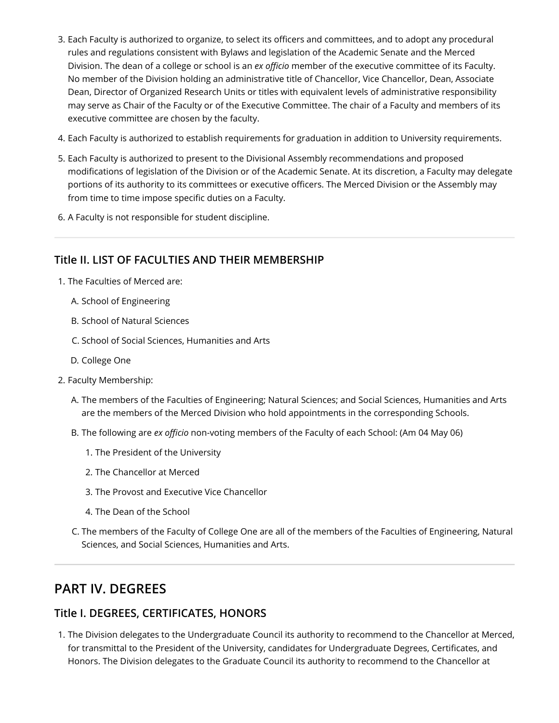- 3. Each Faculty is authorized to organize, to select its officers and committees, and to adopt any procedural rules and regulations consistent with Bylaws and legislation of the Academic Senate and the Merced Division. The dean of a college or school is an *ex officio* member of the executive committee of its Faculty. No member of the Division holding an administrative title of Chancellor, Vice Chancellor, Dean, Associate Dean, Director of Organized Research Units or titles with equivalent levels of administrative responsibility may serve as Chair of the Faculty or of the Executive Committee. The chair of a Faculty and members of its executive committee are chosen by the faculty.
- 4. Each Faculty is authorized to establish requirements for graduation in addition to University requirements.
- 5. Each Faculty is authorized to present to the Divisional Assembly recommendations and proposed modifications of legislation of the Division or of the Academic Senate. At its discretion, a Faculty may delegate portions of its authority to its committees or executive officers. The Merced Division or the Assembly may from time to time impose specific duties on a Faculty.
- 6. A Faculty is not responsible for student discipline.

### **Title II. LIST OF FACULTIES AND THEIR MEMBERSHIP**

- 1. The Faculties of Merced are:
	- A. School of Engineering
	- B. School of Natural Sciences
	- C. School of Social Sciences, Humanities and Arts
	- D. College One
- 2. Faculty Membership:
	- A. The members of the Faculties of Engineering; Natural Sciences; and Social Sciences, Humanities and Arts are the members of the Merced Division who hold appointments in the corresponding Schools.
	- B. The following are *ex officio* non-voting members of the Faculty of each School: (Am 04 May 06)
		- 1. The President of the University
		- 2. The Chancellor at Merced
		- 3. The Provost and Executive Vice Chancellor
		- 4. The Dean of the School
	- C. The members of the Faculty of College One are all of the members of the Faculties of Engineering, Natural Sciences, and Social Sciences, Humanities and Arts.

# <span id="page-21-0"></span>**PART IV. DEGREES**

### **Title I. DEGREES, CERTIFICATES, HONORS**

1. The Division delegates to the Undergraduate Council its authority to recommend to the Chancellor at Merced, for transmittal to the President of the University, candidates for Undergraduate Degrees, Certificates, and Honors. The Division delegates to the Graduate Council its authority to recommend to the Chancellor at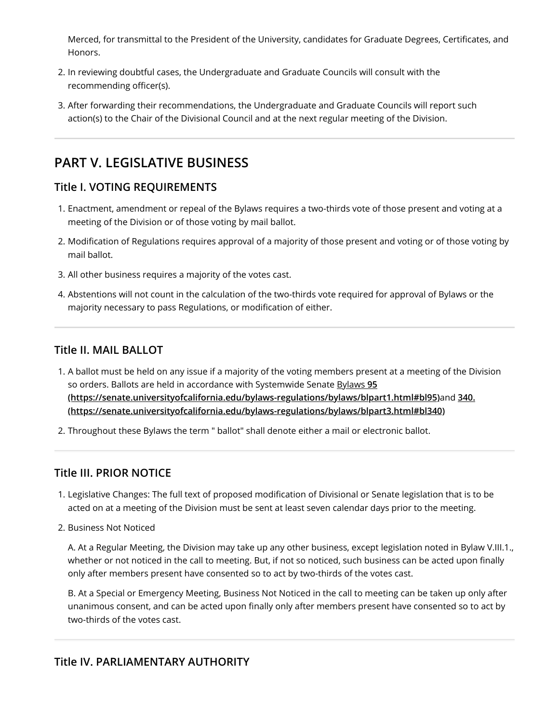Merced, for transmittal to the President of the University, candidates for Graduate Degrees, Certificates, and Honors.

- 2. In reviewing doubtful cases, the Undergraduate and Graduate Councils will consult with the recommending officer(s).
- 3. After forwarding their recommendations, the Undergraduate and Graduate Councils will report such action(s) to the Chair of the Divisional Council and at the next regular meeting of the Division.

# **PART V. LEGISLATIVE BUSINESS**

### **Title I. VOTING REQUIREMENTS**

- 1. Enactment, amendment or repeal of the Bylaws requires a two-thirds vote of those present and voting at a meeting of the Division or of those voting by mail ballot.
- 2. Modification of Regulations requires approval of a majority of those present and voting or of those voting by mail ballot.
- 3. All other business requires a majority of the votes cast.
- 4. Abstentions will not count in the calculation of the two-thirds vote required for approval of Bylaws or the majority necessary to pass Regulations, or modification of either.

### **Title II. MAIL BALLOT**

- 1. A ballot must be held on any issue if a majority of the voting members present at a meeting of the Division so orders. Ballots are held in accordance with Systemwide Senate Bylaws **95 [\(https://senate.universityofcalifornia.edu/bylaws-regulations/bylaws/blpart1.html#bl95\)](https://senate.universityofcalifornia.edu/bylaws-regulations/bylaws/blpart1.html#bl95)**and **340. [\(https://senate.universityofcalifornia.edu/bylaws-regulations/bylaws/blpart3.html#bl340\)](https://senate.universityofcalifornia.edu/bylaws-regulations/bylaws/blpart3.html#bl340)**
- 2. Throughout these Bylaws the term " ballot" shall denote either a mail or electronic ballot.

### **Title III. PRIOR NOTICE**

- 1. Legislative Changes: The full text of proposed modification of Divisional or Senate legislation that is to be acted on at a meeting of the Division must be sent at least seven calendar days prior to the meeting.
- 2. Business Not Noticed

A. At a Regular Meeting, the Division may take up any other business, except legislation noted in Bylaw V.III.1., whether or not noticed in the call to meeting. But, if not so noticed, such business can be acted upon finally only after members present have consented so to act by two-thirds of the votes cast.

B. At a Special or Emergency Meeting, Business Not Noticed in the call to meeting can be taken up only after unanimous consent, and can be acted upon finally only after members present have consented so to act by two-thirds of the votes cast.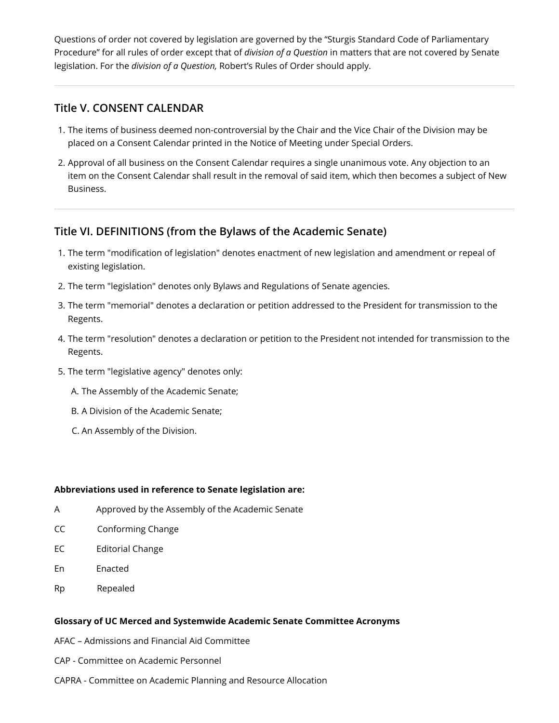Questions of order not covered by legislation are governed by the "Sturgis Standard Code of Parliamentary Procedure" for all rules of order except that of *division of a Question* in matters that are not covered by Senate legislation. For the *division of a Question,* Robert's Rules of Order should apply.

#### **Title V. CONSENT CALENDAR**

- 1. The items of business deemed non-controversial by the Chair and the Vice Chair of the Division may be placed on a Consent Calendar printed in the Notice of Meeting under Special Orders.
- 2. Approval of all business on the Consent Calendar requires a single unanimous vote. Any objection to an item on the Consent Calendar shall result in the removal of said item, which then becomes a subject of New Business.

### **Title VI. DEFINITIONS (from the Bylaws of the Academic Senate)**

- 1. The term "modification of legislation" denotes enactment of new legislation and amendment or repeal of existing legislation.
- 2. The term "legislation" denotes only Bylaws and Regulations of Senate agencies.
- 3. The term "memorial" denotes a declaration or petition addressed to the President for transmission to the Regents.
- 4. The term "resolution" denotes a declaration or petition to the President not intended for transmission to the Regents.
- 5. The term "legislative agency" denotes only:
	- A. The Assembly of the Academic Senate;
	- B. A Division of the Academic Senate;
	- C. An Assembly of the Division.

#### **Abbreviations used in reference to Senate legislation are:**

- A Approved by the Assembly of the Academic Senate
- CC Conforming Change
- EC Editorial Change
- En Enacted
- Rp Repealed

#### **Glossary of UC Merced and Systemwide Academic Senate Committee Acronyms**

- AFAC Admissions and Financial Aid Committee
- CAP Committee on Academic Personnel
- CAPRA Committee on Academic Planning and Resource Allocation